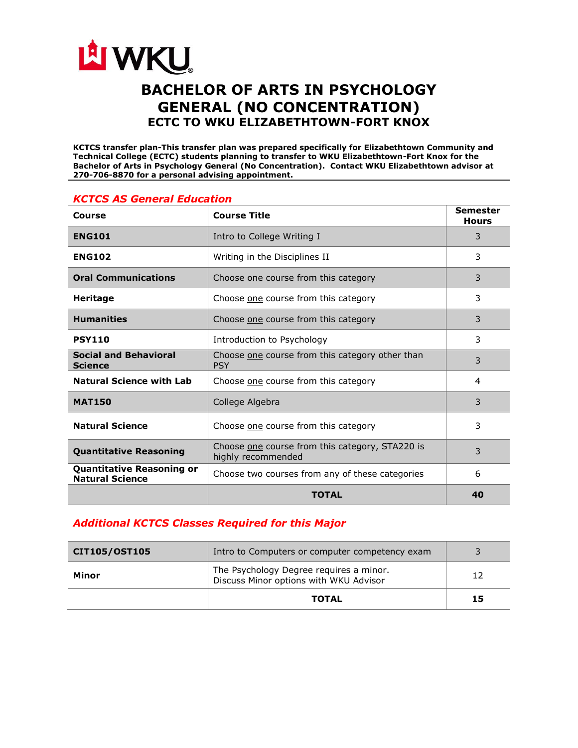

# **BACHELOR OF ARTS IN PSYCHOLOGY GENERAL (NO CONCENTRATION) ECTC TO WKU ELIZABETHTOWN-FORT KNOX**

**KCTCS transfer plan-This transfer plan was prepared specifically for Elizabethtown Community and Technical College (ECTC) students planning to transfer to WKU Elizabethtown-Fort Knox for the Bachelor of Arts in Psychology General (No Concentration). Contact WKU Elizabethtown advisor at 270-706-8870 for a personal advising appointment.** 

| Course                                                     | <b>Course Title</b>                                                   | Semester<br><b>Hours</b> |
|------------------------------------------------------------|-----------------------------------------------------------------------|--------------------------|
| <b>ENG101</b>                                              | Intro to College Writing I                                            | 3                        |
| <b>ENG102</b>                                              | Writing in the Disciplines II                                         | 3                        |
| <b>Oral Communications</b>                                 | Choose one course from this category                                  | 3                        |
| <b>Heritage</b>                                            | Choose one course from this category                                  | 3                        |
| <b>Humanities</b>                                          | Choose one course from this category                                  | 3                        |
| <b>PSY110</b>                                              | Introduction to Psychology                                            | 3                        |
| <b>Social and Behavioral</b><br><b>Science</b>             | Choose one course from this category other than<br><b>PSY</b>         | 3                        |
| <b>Natural Science with Lab</b>                            | Choose one course from this category                                  | 4                        |
| <b>MAT150</b>                                              | College Algebra                                                       | 3                        |
| <b>Natural Science</b>                                     | Choose one course from this category                                  | 3                        |
| <b>Quantitative Reasoning</b>                              | Choose one course from this category, STA220 is<br>highly recommended | 3                        |
| <b>Quantitative Reasoning or</b><br><b>Natural Science</b> | Choose two courses from any of these categories                       | 6                        |
|                                                            | <b>TOTAL</b>                                                          | 40                       |

# *KCTCS AS General Education*

# *Additional KCTCS Classes Required for this Major*

| CIT105/OST105 | Intro to Computers or computer competency exam                                    |    |
|---------------|-----------------------------------------------------------------------------------|----|
| Minor         | The Psychology Degree requires a minor.<br>Discuss Minor options with WKU Advisor | 12 |
|               | <b>TOTAL</b>                                                                      | 15 |